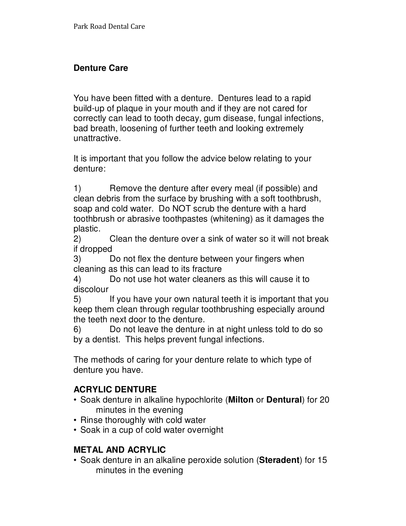# **Denture Care**

You have been fitted with a denture. Dentures lead to a rapid build-up of plaque in your mouth and if they are not cared for correctly can lead to tooth decay, gum disease, fungal infections, bad breath, loosening of further teeth and looking extremely unattractive.

It is important that you follow the advice below relating to your denture:

1) Remove the denture after every meal (if possible) and clean debris from the surface by brushing with a soft toothbrush, soap and cold water. Do NOT scrub the denture with a hard toothbrush or abrasive toothpastes (whitening) as it damages the plastic.

2) Clean the denture over a sink of water so it will not break if dropped

3) Do not flex the denture between your fingers when cleaning as this can lead to its fracture

4) Do not use hot water cleaners as this will cause it to discolour

5) If you have your own natural teeth it is important that you keep them clean through regular toothbrushing especially around the teeth next door to the denture.

6) Do not leave the denture in at night unless told to do so by a dentist. This helps prevent fungal infections.

The methods of caring for your denture relate to which type of denture you have.

# **ACRYLIC DENTURE**

- Soak denture in alkaline hypochlorite (**Milton** or **Dentural**) for 20 minutes in the evening
- Rinse thoroughly with cold water
- Soak in a cup of cold water overnight

#### **METAL AND ACRYLIC**

• Soak denture in an alkaline peroxide solution (**Steradent**) for 15 minutes in the evening